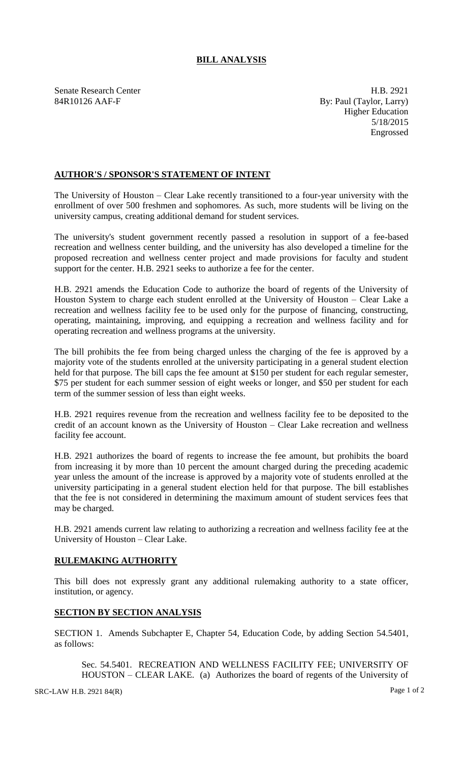## **BILL ANALYSIS**

Senate Research Center **H.B. 2921** 84R10126 AAF-F By: Paul (Taylor, Larry) Higher Education 5/18/2015 Engrossed

## **AUTHOR'S / SPONSOR'S STATEMENT OF INTENT**

The University of Houston – Clear Lake recently transitioned to a four-year university with the enrollment of over 500 freshmen and sophomores. As such, more students will be living on the university campus, creating additional demand for student services.

The university's student government recently passed a resolution in support of a fee-based recreation and wellness center building, and the university has also developed a timeline for the proposed recreation and wellness center project and made provisions for faculty and student support for the center. H.B. 2921 seeks to authorize a fee for the center.

H.B. 2921 amends the Education Code to authorize the board of regents of the University of Houston System to charge each student enrolled at the University of Houston – Clear Lake a recreation and wellness facility fee to be used only for the purpose of financing, constructing, operating, maintaining, improving, and equipping a recreation and wellness facility and for operating recreation and wellness programs at the university.

The bill prohibits the fee from being charged unless the charging of the fee is approved by a majority vote of the students enrolled at the university participating in a general student election held for that purpose. The bill caps the fee amount at \$150 per student for each regular semester, \$75 per student for each summer session of eight weeks or longer, and \$50 per student for each term of the summer session of less than eight weeks.

H.B. 2921 requires revenue from the recreation and wellness facility fee to be deposited to the credit of an account known as the University of Houston – Clear Lake recreation and wellness facility fee account.

H.B. 2921 authorizes the board of regents to increase the fee amount, but prohibits the board from increasing it by more than 10 percent the amount charged during the preceding academic year unless the amount of the increase is approved by a majority vote of students enrolled at the university participating in a general student election held for that purpose. The bill establishes that the fee is not considered in determining the maximum amount of student services fees that may be charged.

H.B. 2921 amends current law relating to authorizing a recreation and wellness facility fee at the University of Houston – Clear Lake.

## **RULEMAKING AUTHORITY**

This bill does not expressly grant any additional rulemaking authority to a state officer, institution, or agency.

## **SECTION BY SECTION ANALYSIS**

SECTION 1. Amends Subchapter E, Chapter 54, Education Code, by adding Section 54.5401, as follows:

Sec. 54.5401. RECREATION AND WELLNESS FACILITY FEE; UNIVERSITY OF HOUSTON – CLEAR LAKE. (a) Authorizes the board of regents of the University of